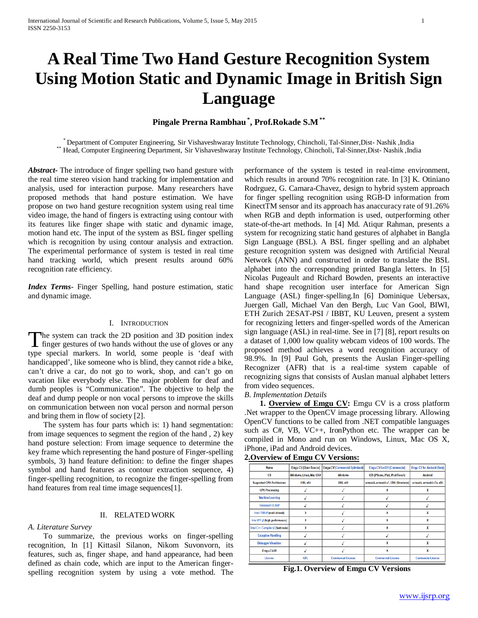# **A Real Time Two Hand Gesture Recognition System Using Motion Static and Dynamic Image in British Sign Language**

# **Pingale Prerna Rambhau \* , Prof.Rokade S.M\*\***

\* Department of Computer Engineering, Sir Vishaveshwaray Institute Technology, Chincholi, Tal-Sinner, Dist-Nashik , India \*\*\* Head, Computer Engineering Department, Sir Vishaveshwaray Institute Technology, Chincholi, Tal-S

*Abstract***-** The introduce of finger spelling two hand gesture with the real time stereo vision hand tracking for implementation and analysis, used for interaction purpose. Many researchers have proposed methods that hand posture estimation. We have propose on two hand gesture recognition system using real time video image, the hand of fingers is extracting using contour with its features like finger shape with static and dynamic image, motion hand etc. The input of the system as BSL finger spelling which is recognition by using contour analysis and extraction. The experimental performance of system is tested in real time hand tracking world, which present results around 60% recognition rate efficiency.

*Index Terms*- Finger Spelling, hand posture estimation, static and dynamic image.

#### I. INTRODUCTION

The system can track the 2D position and 3D position index The system can track the 2D position and 3D position index<br>finger gestures of two hands without the use of gloves or any<br>transitional means of the state of the state of the state. type special markers. In world, some people is 'deaf with handicapped', like someone who is blind, they cannot ride a bike, can't drive a car, do not go to work, shop, and can't go on vacation like everybody else. The major problem for deaf and dumb peoples is "Communication". The objective to help the deaf and dump people or non vocal persons to improve the skills on communication between non vocal person and normal person and bring them in flow of society [2].

 The system has four parts which is: 1) hand segmentation: from image sequences to segment the region of the hand , 2) key hand posture selection: From image sequence to determine the key frame which representing the hand posture of Finger-spelling symbols, 3) hand feature definition: to define the finger shapes symbol and hand features as contour extraction sequence, 4) finger-spelling recognition, to recognize the finger-spelling from hand features from real time image sequences[1].

#### II. RELATED WORK

#### *A. Literature Survey*

 To summarize, the previous works on finger-spelling recognition, In [1] Kittasil Silanon, Nikom Suvonvorn, its features, such as, finger shape, and hand appearance, had been defined as chain code, which are input to the American fingerspelling recognition system by using a vote method. The performance of the system is tested in real-time environment, which results in around 70% recognition rate. In [3] K. Otiniano Rodrguez, G. Camara-Chavez, design to hybrid system approach for finger spelling recognition using RGB-D information from KinectTM sensor and its approach has anaccuracy rate of 91.26% when RGB and depth information is used, outperforming other state-of-the-art methods. In [4] Md. Atiqur Rahman, presents a system for recognizing static hand gestures of alphabet in Bangla Sign Language (BSL). A BSL finger spelling and an alphabet gesture recognition system was designed with Artificial Neural Network (ANN) and constructed in order to translate the BSL alphabet into the corresponding printed Bangla letters. In [5] Nicolas Pugeault and Richard Bowden, presents an interactive hand shape recognition user interface for American Sign Language (ASL) finger-spelling.In [6] Dominique Uebersax, Juergen Gall, Michael Van den Bergh, Luc Van Gool, BIWI, ETH Zurich 2ESAT-PSI / IBBT, KU Leuven, present a system for recognizing letters and finger-spelled words of the American sign language (ASL) in real-time. See in [7] [8], report results on a dataset of 1,000 low quality webcam videos of 100 words. The proposed method achieves a word recognition accuracy of 98.9%. In [9] Paul Goh, presents the Auslan Finger-spelling Recognizer (AFR) that is a real-time system capable of recognizing signs that consists of Auslan manual alphabet letters from video sequences.

#### *B. Implementation Details*

 **1. Overview of Emgu CV:** Emgu CV is a cross platform .Net wrapper to the OpenCV image processing library. Allowing OpenCV functions to be called from .NET compatible languages such as C#, VB, VC++, IronPython etc. The wrapper can be compiled in Mono and run on Windows, Linux, Mac OS X, iPhone, iPad and Android devices.

## **2.Overview of Emgu CV Versions:**

| Name                              | Emgu CV (Open Source)   | Emgu CV (Commercial Optimized) | Emgu CV for iOS (Commercial)          | Emgu CV for Android (Beta) |
|-----------------------------------|-------------------------|--------------------------------|---------------------------------------|----------------------------|
| OS.                               | Windows, Linux, Mac OSX | <b>Windows</b>                 | <b>iOS (iPhone, IPad, IPod Touch)</b> | <b>Android</b>             |
| <b>Supported CPU Architecture</b> | i386, x64               | i386, x64                      | armeabi, armeabi-v7, i386 (Simulator) | armeabi, armeabi-v7a, x86  |
| <b>GPU Processing</b>             |                         |                                |                                       |                            |
| <b>Machine Learning</b>           |                         |                                |                                       |                            |
| Tesseract OCR fP                  |                         |                                |                                       |                            |
| Intel TBB @ (multi-thread)        | x                       |                                |                                       | X                          |
| Intel IPP @ (high performance)    | x                       |                                |                                       | X                          |
| Intel C++ Compiler @ [fast code)  | x                       |                                |                                       |                            |
| <b>Exception Handling</b>         |                         |                                |                                       |                            |
| <b>Debugger Visualizer</b>        |                         |                                | x                                     | X                          |
| Emgu.CV.UI                        |                         |                                | ×                                     | X                          |
| License                           | <b>GPL</b>              | <b>Commercial License</b>      | <b>Commercial License</b>             | <b>Commercial License</b>  |
|                                   |                         |                                |                                       |                            |

**Fig.1. Overview of Emgu CV Versions**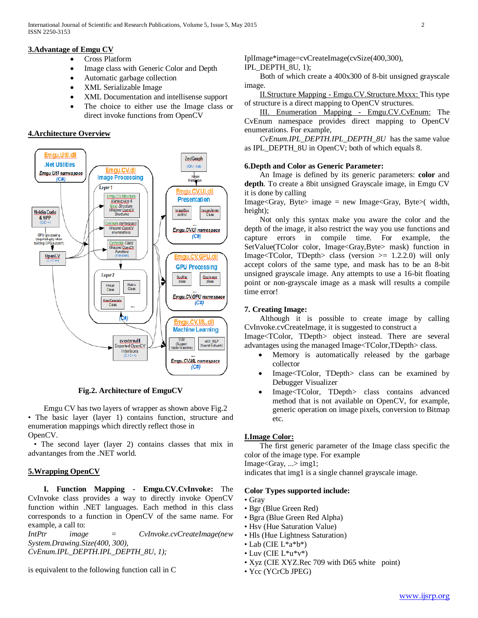# **3.Advantage of Emgu CV**

- Cross Platform
- Image class with Generic Color and Depth
- Automatic garbage collection
- XML Serializable Image
- XML Documentation and intellisense support
- The choice to either use the Image class or direct invoke functions from OpenCV

#### **4.Architecture Overview**



**Fig.2. Architecture of EmguCV**

 Emgu CV has two layers of wrapper as shown above Fig.2 • The basic layer (layer 1) contains function, structure and enumeration mappings which directly reflect those in OpenCV.

• The second layer (layer 2) contains classes that mix in advantanges from the .NET world.

## **5.Wrapping OpenCV**

 **I. Function Mapping - Emgu.CV.CvInvoke:** The CvInvoke class provides a way to directly invoke OpenCV function within .NET languages. Each method in this class corresponds to a function in OpenCV of the same name. For example, a call to:

*IntPtr image = CvInvoke.cvCreateImage(new System.Drawing.Size(400, 300), CvEnum.IPL\_DEPTH.IPL\_DEPTH\_8U, 1);*

is equivalent to the following function call in C

IplImage\*image=cvCreateImage(cvSize(400,300),

#### IPL\_DEPTH\_8U, 1);

 Both of which create a 400x300 of 8-bit unsigned grayscale image.

 II.Structure Mapping - Emgu.CV.Structure.Mxxx: This type of structure is a direct mapping to OpenCV structures.

 III. Enumeration Mapping - Emgu.CV.CvEnum: The CvEnum namespace provides direct mapping to OpenCV enumerations. For example,

 *CvEnum.IPL\_DEPTH.IPL\_DEPTH\_8U* has the same value as IPL DEPTH  $SU$  in OpenCV; both of which equals 8.

#### **6.Depth and Color as Generic Parameter:**

 An Image is defined by its generic parameters: **color** and **depth**. To create a 8bit unsigned Grayscale image, in Emgu CV it is done by calling

Image<Gray, Byte> image = new Image<Gray, Byte>( width, height);

 Not only this syntax make you aware the color and the depth of the image, it also restrict the way you use functions and capture errors in compile time. For example, the SetValue(TColor color, Image<Gray,Byte> mask) function in Image $\langle TColor, TDepth \rangle$  class (version  $\geq 1.2.2.0$ ) will only accept colors of the same type, and mask has to be an 8-bit unsigned grayscale image. Any attempts to use a 16-bit floating point or non-grayscale image as a mask will results a compile time error!

#### **7. Creating Image:**

 Although it is possible to create image by calling CvInvoke.cvCreateImage, it is suggested to construct a

Image<TColor, TDepth> object instead. There are several advantages using the managed Image<TColor,TDepth> class.

- Memory is automatically released by the garbage collector
- Image<TColor, TDepth> class can be examined by Debugger Visualizer
- Image<TColor, TDepth> class contains advanced method that is not available on OpenCV, for example, generic operation on image pixels, conversion to Bitmap etc.

## **I.Image Color:**

 The first generic parameter of the Image class specific the color of the image type. For example

Image<Gray, ...> img1;

indicates that img1 is a single channel grayscale image.

#### **Color Types supported include:**

• Gray

- Bgr (Blue Green Red)
- Bgra (Blue Green Red Alpha)
- Hsv (Hue Saturation Value)
- Hls (Hue Lightness Saturation)
- Lab (CIE L\*a\*b\*)
- Luv (CIE  $L^*u^*v^*$ )
- Xyz (CIE XYZ.Rec 709 with D65 white point)
- Ycc (YCrCb JPEG)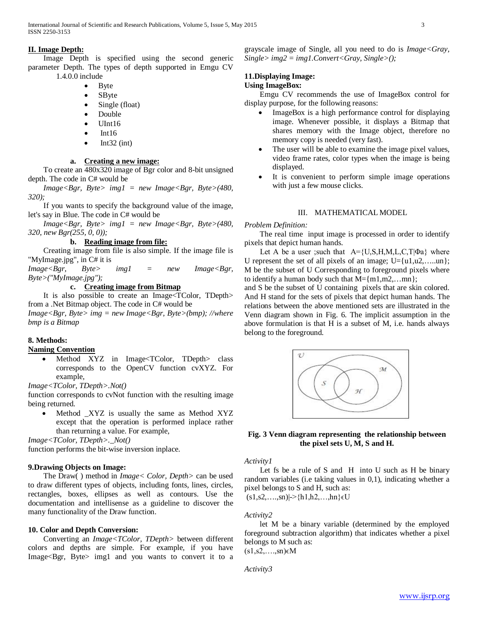# **II. Image Depth:**

 Image Depth is specified using the second generic parameter Depth. The types of depth supported in Emgu CV 1.4.0.0 include

- Byte
- SByte
- Single (float)
- Double
- UInt16
- $\bullet$  Int16
- $\bullet$  Int32 (int)

# **a. Creating a new image:**

 To create an 480x320 image of Bgr color and 8-bit unsigned depth. The code in C# would be

 *Image<Bgr, Byte> img1 = new Image<Bgr, Byte>(480, 320);*

 If you wants to specify the background value of the image, let's say in Blue. The code in C# would be

 *Image<Bgr, Byte> img1 = new Image<Bgr, Byte>(480, 320, new Bgr(255, 0, 0));*

## **b. Reading image from file:**

 Creating image from file is also simple. If the image file is "MyImage.jpg", in C# it is

*Image<Bgr, Byte> img1 = new Image<Bgr, Byte>("MyImage.jpg");*

## **c. Creating image from Bitmap**

 It is also possible to create an Image<TColor, TDepth> from a .Net Bitmap object. The code in C# would be

*Image<Bgr, Byte> img = new Image<Bgr, Byte>(bmp); //where bmp is a Bitmap*

# **8. Methods:**

## **Naming Convention**

• Method XYZ in Image<TColor, TDepth> class corresponds to the OpenCV function cvXYZ. For example,

*Image<TColor, TDepth>.Not()*

function corresponds to cvNot function with the resulting image being returned.

Method XYZ is usually the same as Method XYZ except that the operation is performed inplace rather than returning a value. For example,

*Image<TColor, TDepth>.\_Not()*

function performs the bit-wise inversion inplace.

## **9.Drawing Objects on Image:**

 The Draw( ) method in *Image< Color, Depth>* can be used to draw different types of objects, including fonts, lines, circles, rectangles, boxes, ellipses as well as contours. Use the documentation and intellisense as a guideline to discover the many functionality of the Draw function.

## **10. Color and Depth Conversion:**

 Converting an *Image<TColor, TDepth>* between different colors and depths are simple. For example, if you have Image<Bgr, Byte> img1 and you wants to convert it to a grayscale image of Single, all you need to do is *Image<Gray, Single> img2 = img1.Convert<Gray, Single>();*

# **11.Displaying Image:**

# **Using ImageBox:**

 Emgu CV recommends the use of ImageBox control for display purpose, for the following reasons:

- ImageBox is a high performance control for displaying image. Whenever possible, it displays a Bitmap that shares memory with the Image object, therefore no memory copy is needed (very fast).
- The user will be able to examine the image pixel values, video frame rates, color types when the image is being displayed.
- It is convenient to perform simple image operations with just a few mouse clicks.

# III. MATHEMATICAL MODEL

## *Problem Definition:*

 The real time input image is processed in order to identify pixels that depict human hands.

Let A be a user ;such that  $A = \{U, S, H, M, L, C, T | \Phi a \}$  where U represent the set of all pixels of an image;  $U=[u1,u2, \ldots, u_n]$ ; M be the subset of U Corresponding to foreground pixels where to identify a human body such that  $M = \{m1, m2, \ldots mn\}$ ;

and S be the subset of U containing pixels that are skin colored. And H stand for the sets of pixels that depict human hands. The relations between the above mentioned sets are illustrated in the Venn diagram shown in Fig. 6. The implicit assumption in the above formulation is that H is a subset of M, i.e. hands always belong to the foreground.



# **Fig. 3 Venn diagram representing the relationship between the pixel sets U, M, S and H.**

## *Activity1*

Let fs be a rule of S and H into U such as H be binary random variables (i.e taking values in 0,1), indicating whether a pixel belongs to S and H, such as:  $(s1, s2, \ldots, sn)| \geq \{h1, h2, \ldots, hn\} \in U$ 

# *Activity2*

 let M be a binary variable (determined by the employed foreground subtraction algorithm) that indicates whether a pixel belongs to M such as:  $(s1,s2,\ldots,sn) \in M$ 

*Activity3*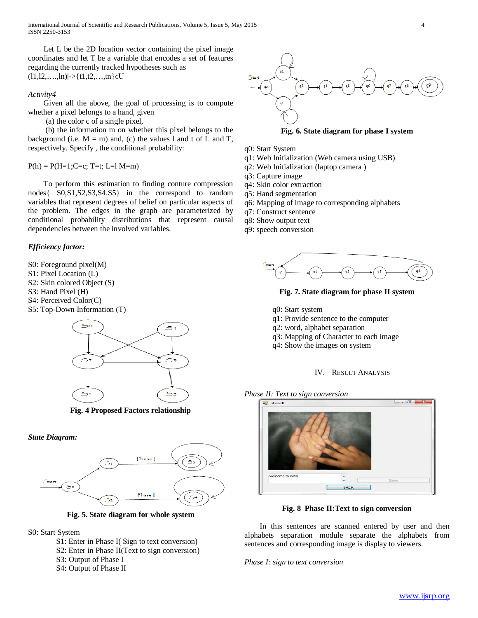International Journal of Scientific and Research Publications, Volume 5, Issue 5, May 2015 4 ISSN 2250-3153

Let L be the 2D location vector containing the pixel image coordinates and let T be a variable that encodes a set of features regarding the currently tracked hypotheses such as  $(11,12,...,ln)|>\{t1,t2,...,tn\} \in U$ 

#### *Activity4*

 Given all the above, the goal of processing is to compute whether a pixel belongs to a hand, given

(a) the color c of a single pixel,

 (b) the information m on whether this pixel belongs to the background (i.e.  $M = m$ ) and, (c) the values l and t of L and T, respectively. Specify , the conditional probability:

 $P(h) = P(H=1;C=c; T=t; L=l M=m)$ 

 To perform this estimation to finding conture compression nodes{ S0,S1,S2,S3,S4.S5} in the correspond to random variables that represent degrees of belief on particular aspects of the problem. The edges in the graph are parameterized by conditional probability distributions that represent causal dependencies between the involved variables.

#### *Efficiency factor:*

- S0: Foreground pixel(M)
- S1: Pixel Location (L)
- S2: Skin colored Object (S)
- S3: Hand Pixel (H)
- S4: Perceived Color(C)
- S5: Top-Down Information (T)



**Fig. 4 Proposed Factors relationship**





**Fig. 5. State diagram for whole system**



- S1: Enter in Phase I( Sign to text conversion)
- S2: Enter in Phase II(Text to sign conversion)
- S3: Output of Phase I
- S4: Output of Phase II



**Fig. 6. State diagram for phase I system**

- q0: Start System
- q1: Web Initialization (Web camera using USB)
- q2: Web Initialization (laptop camera )
- q3: Capture image
- q4: Skin color extraction
- q5: Hand segmentation
- q6: Mapping of image to corresponding alphabets
- q7: Construct sentence
- q8: Show output text
- q9: speech conversion



**Fig. 7. State diagram for phase II system**

- q0: Start system
- q1: Provide sentence to the computer
- q2: word, alphabet separation
- q3: Mapping of Character to each image
- q4: Show the images on system
	- IV. RESULT ANALYSIS

*Phase II: Text to sign conversion*



**Fig. 8 Phase II:Text to sign conversion**

 In this sentences are scanned entered by user and then alphabets separation module separate the alphabets from sentences and corresponding image is display to viewers.

## *Phase I: sign to text conversion*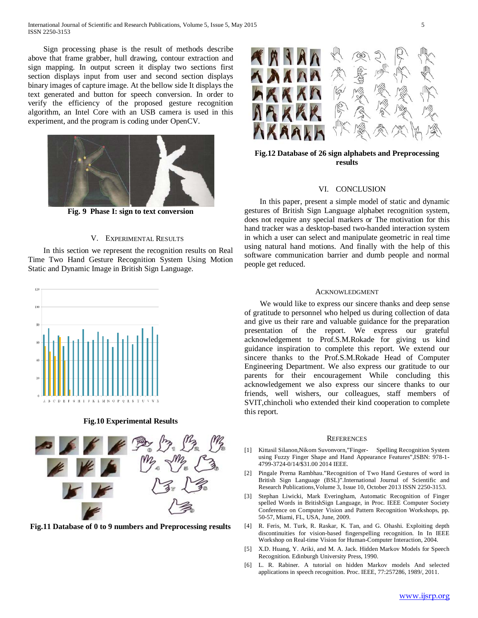Sign processing phase is the result of methods describe above that frame grabber, hull drawing, contour extraction and sign mapping. In output screen it display two sections first section displays input from user and second section displays binary images of capture image. At the bellow side It displays the text generated and button for speech conversion. In order to verify the efficiency of the proposed gesture recognition algorithm, an Intel Core with an USB camera is used in this experiment, and the program is coding under OpenCV.



**Fig. 9 Phase I: sign to text conversion**

#### V. EXPERIMENTAL RESULTS

 In this section we represent the recognition results on Real Time Two Hand Gesture Recognition System Using Motion Static and Dynamic Image in British Sign Language.



**Fig.10 Experimental Results**



**Fig.11 Database of 0 to 9 numbers and Preprocessing results**



**Fig.12 Database of 26 sign alphabets and Preprocessing results**

#### VI. CONCLUSION

 In this paper, present a simple model of static and dynamic gestures of British Sign Language alphabet recognition system, does not require any special markers or The motivation for this hand tracker was a desktop-based two-handed interaction system in which a user can select and manipulate geometric in real time using natural hand motions. And finally with the help of this software communication barrier and dumb people and normal people get reduced.

#### ACKNOWLEDGMENT

 We would like to express our sincere thanks and deep sense of gratitude to personnel who helped us during collection of data and give us their rare and valuable guidance for the preparation presentation of the report. We express our grateful acknowledgement to Prof.S.M.Rokade for giving us kind guidance inspiration to complete this report. We extend our sincere thanks to the Prof.S.M.Rokade Head of Computer Engineering Department. We also express our gratitude to our parents for their encouragement While concluding this acknowledgement we also express our sincere thanks to our friends, well wishers, our colleagues, staff members of SVIT,chincholi who extended their kind cooperation to complete this report.

#### **REFERENCES**

- [1] Kittasil Silanon,Nikom Suvonvorn,"Finger- Spelling Recognition System using Fuzzy Finger Shape and Hand Appearance Features",ISBN: 978-1- 4799-3724-0/14/\$31.00 2014 IEEE.
- [2] Pingale Prerna Rambhau."Recognition of Two Hand Gestures of word in British Sign Language (BSL)".International Journal of Scientific and Research Publications,Volume 3, Issue 10, October 2013 ISSN 2250-3153.
- [3] Stephan Liwicki, Mark Everingham, Automatic Recognition of Finger spelled Words in BritishSign Language, in Proc. IEEE Computer Society Conference on Computer Vision and Pattern Recognition Workshops, pp. 50-57, Miami, FL, USA, June, 2009.
- [4] R. Feris, M. Turk, R. Raskar, K. Tan, and G. Ohashi. Exploiting depth discontinuities for vision-based fingerspelling recognition. In In IEEE Workshop on Real-time Vision for Human-Computer Interaction, 2004.
- [5] X.D. Huang, Y. Ariki, and M. A. Jack. Hidden Markov Models for Speech Recognition. Edinburgh University Press, 1990.
- [6] L. R. Rabiner. A tutorial on hidden Markov models And selected applications in speech recognition. Proc. IEEE, 77:257286, 1989/, 2011.